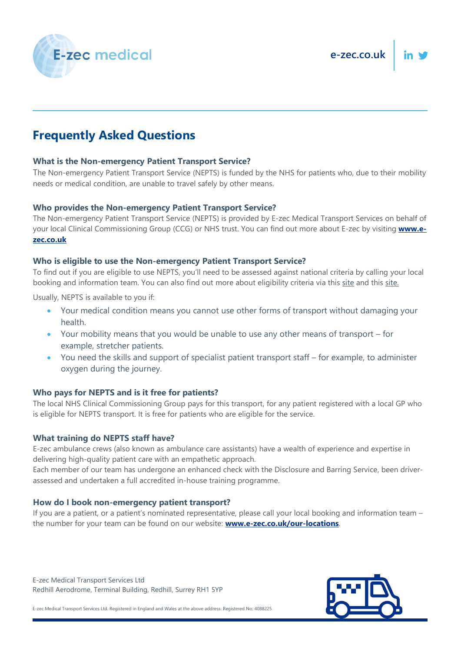



# **Frequently Asked Questions**

# **What is the Non-emergency Patient Transport Service?**

The Non-emergency Patient Transport Service (NEPTS) is funded by the NHS for patients who, due to their mobility needs or medical condition, are unable to travel safely by other means.

## **Who provides the Non-emergency Patient Transport Service?**

The Non-emergency Patient Transport Service (NEPTS) is provided by E-zec Medical Transport Services on behalf of your local Clinical Commissioning Group (CCG) or NHS trust. You can find out more about E-zec by visiting **[www.e](http://www.e-zec.co.uk/)[zec.co.uk](http://www.e-zec.co.uk/)**

# **Who is eligible to use the Non-emergency Patient Transport Service?**

To find out if you are eligible to use NEPTS, you'll need to be assessed against national criteria by calling your local booking and information team. You can also find out more about eligibility criteria via this [site](https://www.nhs.uk/nhs-services/hospitals/going-into-hospital/how-to-organise-transport-to-and-from-hospital/) and this [site.](https://www.england.nhs.uk/publication/improving-non-emergency-patient-transport-services/)

Usually, NEPTS is available to you if:

- Your medical condition means you cannot use other forms of transport without damaging your health.
- Your mobility means that you would be unable to use any other means of transport for example, stretcher patients.
- You need the skills and support of specialist patient transport staff for example, to administer oxygen during the journey.

## **Who pays for NEPTS and is it free for patients?**

The local NHS Clinical Commissioning Group pays for this transport, for any patient registered with a local GP who is eligible for NEPTS transport. It is free for patients who are eligible for the service.

## **What training do NEPTS staff have?**

E-zec ambulance crews (also known as ambulance care assistants) have a wealth of experience and expertise in delivering high-quality patient care with an empathetic approach.

Each member of our team has undergone an enhanced check with the Disclosure and Barring Service, been driverassessed and undertaken a full accredited in-house [training programme.](https://e-zec.co.uk/careers/training/)

## **How do I book non-emergency patient transport?**

If you are a patient, or a patient's nominated representative, please call your local booking and information team – the number for your team can be found on our website: **[www.e-zec.co.uk/our-locations](http://www.e-zec.co.uk/our-locations)**.

E-zec Medical Transport Services Ltd Redhill Aerodrome, Terminal Building, Redhill, Surrey RH1 5YP

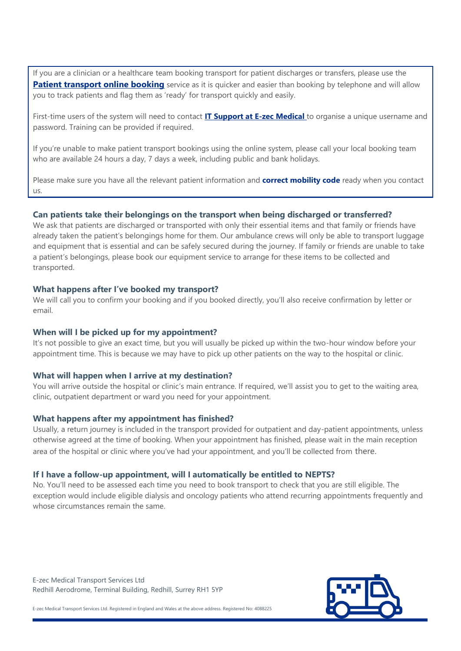If you are a clinician or a healthcare team booking transport for patient discharges or transfers, please use the **[Patient transport online booking](http://www.ptsbookings.co.uk/ptsonline)** service as it is quicker and easier than booking by telephone and will allow you to track patients and flag them as 'ready' for transport quickly and easily.

First-time users of the system will need to contact **[IT Support at E-zec Medical](mailto:it.support@e-zec.co.uk)** to organise a unique username and password. Training can be provided if required.

If you're unable to make patient transport bookings using the online system, please call your local booking team who are available 24 hours a day, 7 days a week, including public and bank holidays.

Please make sure you have all the relevant patient information and **correct mobility code** ready when you contact us.

#### **Can patients take their belongings on the transport when being discharged or transferred?**

We ask that patients are discharged or transported with only their essential items and that family or friends have already taken the patient's belongings home for them. Our ambulance crews will only be able to transport luggage and equipment that is essential and can be safely secured during the journey. If family or friends are unable to take a patient's belongings, please book our equipment service to arrange for these items to be collected and transported.

#### **What happens after I've booked my transport?**

We will call you to confirm your booking and if you booked directly, you'll also receive confirmation by letter or email.

#### **When will I be picked up for my appointment?**

It's not possible to give an exact time, but you will usually be picked up within the two-hour window before your appointment time. This is because we may have to pick up other patients on the way to the hospital or clinic.

#### **What will happen when I arrive at my destination?**

You will arrive outside the hospital or clinic's main entrance. If required, we'll assist you to get to the waiting area, clinic, outpatient department or ward you need for your appointment.

#### **What happens after my appointment has finished?**

Usually, a return journey is included in the transport provided for outpatient and day-patient appointments, unless otherwise agreed at the time of booking. When your appointment has finished, please wait in the main reception area of the hospital or clinic where you've had your appointment, and you'll be collected from there.

#### **If I have a follow-up appointment, will I automatically be entitled to NEPTS?**

No. You'll need to be assessed each time you need to book transport to check that you are still eligible. The exception would include eligible dialysis and oncology patients who attend recurring appointments frequently and whose circumstances remain the same.

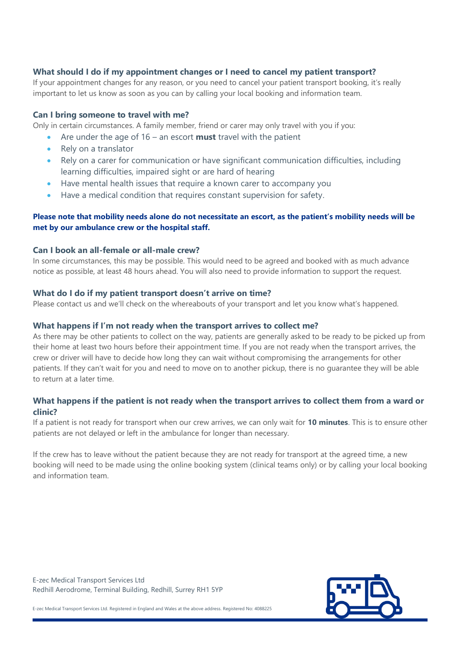# **What should I do if my appointment changes or I need to cancel my patient transport?**

If your appointment changes for any reason, or you need to cancel your patient transport booking, it's really important to let us know as soon as you can by calling your local booking and information team.

#### **Can I bring someone to travel with me?**

Only in certain circumstances. A family member, friend or carer may only travel with you if you:

- Are under the age of 16 an escort **must** travel with the patient
- Rely on a translator
- Rely on a carer for communication or have significant communication difficulties, including learning difficulties, impaired sight or are hard of hearing
- Have mental health issues that require a known carer to accompany you
- Have a medical condition that requires constant supervision for safety.

# **Please note that mobility needs alone do not necessitate an escort, as the patient's mobility needs will be met by our ambulance crew or the hospital staff.**

# **Can I book an all-female or all-male crew?**

In some circumstances, this may be possible. This would need to be agreed and booked with as much advance notice as possible, at least 48 hours ahead. You will also need to provide information to support the request.

#### **What do I do if my patient transport doesn't arrive on time?**

Please contact us and we'll check on the whereabouts of your transport and let you know what's happened.

#### **What happens if I'm not ready when the transport arrives to collect me?**

As there may be other patients to collect on the way, patients are generally asked to be ready to be picked up from their home at least two hours before their appointment time. If you are not ready when the transport arrives, the crew or driver will have to decide how long they can wait without compromising the arrangements for other patients. If they can't wait for you and need to move on to another pickup, there is no guarantee they will be able to return at a later time.

# **What happens if the patient is not ready when the transport arrives to collect them from a ward or clinic?**

If a patient is not ready for transport when our crew arrives, we can only wait for **10 minutes**. This is to ensure other patients are not delayed or left in the ambulance for longer than necessary.

If the crew has to leave without the patient because they are not ready for transport at the agreed time, a new booking will need to be made using the online booking system (clinical teams only) or by calling your local booking and information team.